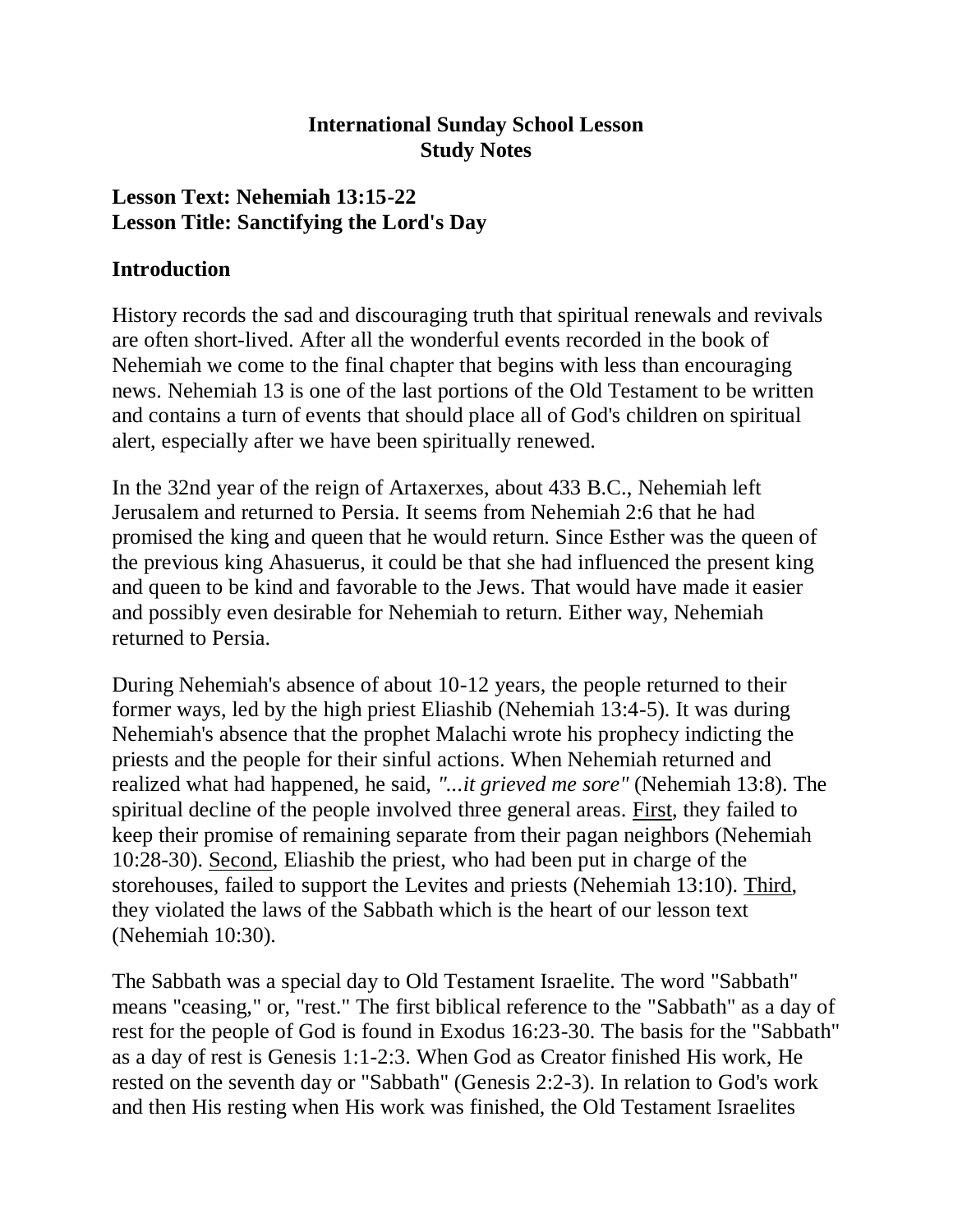### **International Sunday School Lesson Study Notes**

### **Lesson Text: Nehemiah 13:15-22 Lesson Title: Sanctifying the Lord's Day**

### **Introduction**

History records the sad and discouraging truth that spiritual renewals and revivals are often short-lived. After all the wonderful events recorded in the book of Nehemiah we come to the final chapter that begins with less than encouraging news. Nehemiah 13 is one of the last portions of the Old Testament to be written and contains a turn of events that should place all of God's children on spiritual alert, especially after we have been spiritually renewed.

In the 32nd year of the reign of Artaxerxes, about 433 B.C., Nehemiah left Jerusalem and returned to Persia. It seems from Nehemiah 2:6 that he had promised the king and queen that he would return. Since Esther was the queen of the previous king Ahasuerus, it could be that she had influenced the present king and queen to be kind and favorable to the Jews. That would have made it easier and possibly even desirable for Nehemiah to return. Either way, Nehemiah returned to Persia.

During Nehemiah's absence of about 10-12 years, the people returned to their former ways, led by the high priest Eliashib (Nehemiah 13:4-5). It was during Nehemiah's absence that the prophet Malachi wrote his prophecy indicting the priests and the people for their sinful actions. When Nehemiah returned and realized what had happened, he said, *"...it grieved me sore"* (Nehemiah 13:8). The spiritual decline of the people involved three general areas. First, they failed to keep their promise of remaining separate from their pagan neighbors (Nehemiah 10:28-30). Second, Eliashib the priest, who had been put in charge of the storehouses, failed to support the Levites and priests (Nehemiah 13:10). Third, they violated the laws of the Sabbath which is the heart of our lesson text (Nehemiah 10:30).

The Sabbath was a special day to Old Testament Israelite. The word "Sabbath" means "ceasing," or, "rest." The first biblical reference to the "Sabbath" as a day of rest for the people of God is found in Exodus 16:23-30. The basis for the "Sabbath" as a day of rest is Genesis 1:1-2:3. When God as Creator finished His work, He rested on the seventh day or "Sabbath" (Genesis 2:2-3). In relation to God's work and then His resting when His work was finished, the Old Testament Israelites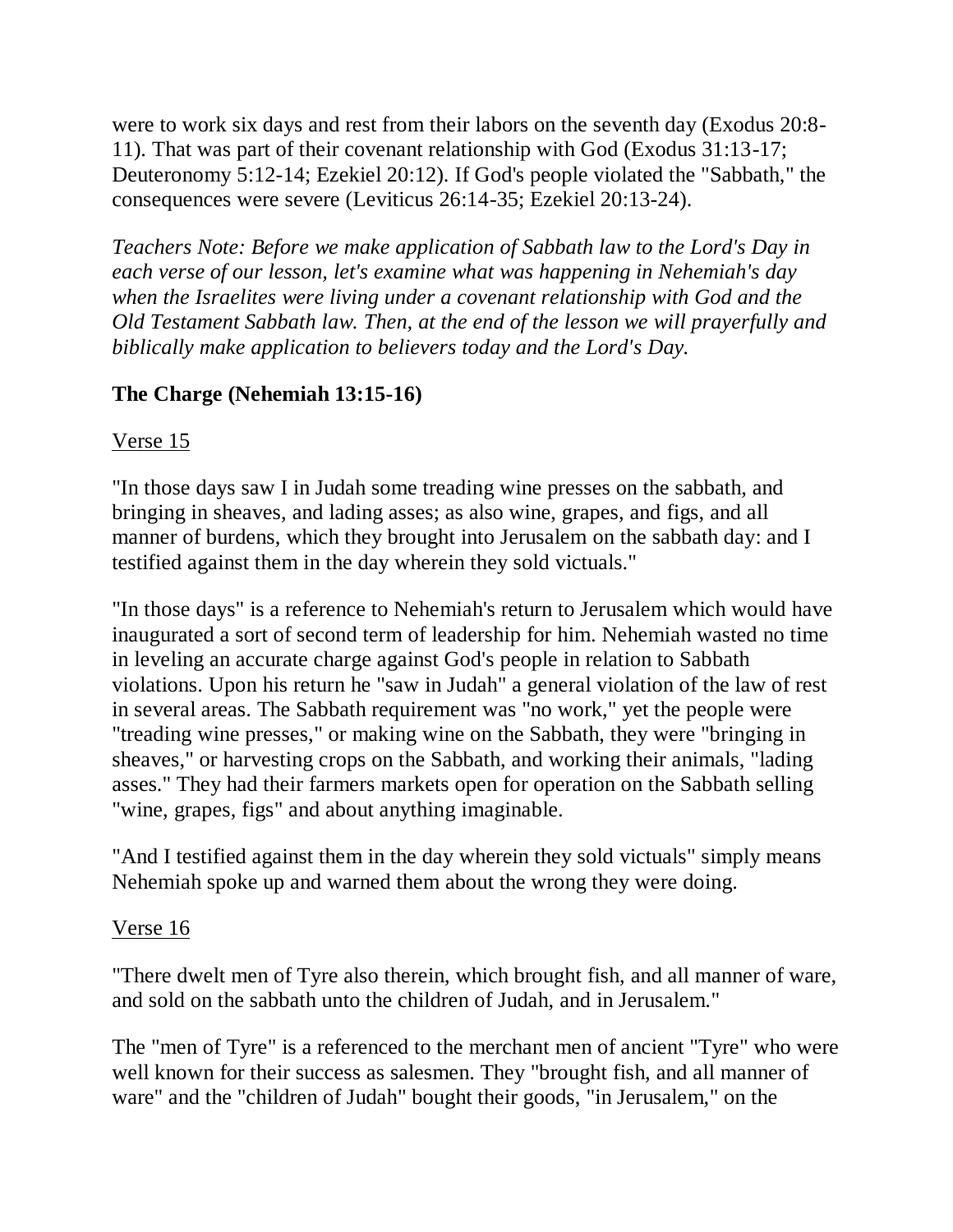were to work six days and rest from their labors on the seventh day (Exodus 20:8- 11). That was part of their covenant relationship with God (Exodus 31:13-17; Deuteronomy 5:12-14; Ezekiel 20:12). If God's people violated the "Sabbath," the consequences were severe (Leviticus 26:14-35; Ezekiel 20:13-24).

*Teachers Note: Before we make application of Sabbath law to the Lord's Day in each verse of our lesson, let's examine what was happening in Nehemiah's day when the Israelites were living under a covenant relationship with God and the Old Testament Sabbath law. Then, at the end of the lesson we will prayerfully and biblically make application to believers today and the Lord's Day.*

## **The Charge (Nehemiah 13:15-16)**

### Verse 15

"In those days saw I in Judah some treading wine presses on the sabbath, and bringing in sheaves, and lading asses; as also wine, grapes, and figs, and all manner of burdens, which they brought into Jerusalem on the sabbath day: and I testified against them in the day wherein they sold victuals."

"In those days" is a reference to Nehemiah's return to Jerusalem which would have inaugurated a sort of second term of leadership for him. Nehemiah wasted no time in leveling an accurate charge against God's people in relation to Sabbath violations. Upon his return he "saw in Judah" a general violation of the law of rest in several areas. The Sabbath requirement was "no work," yet the people were "treading wine presses," or making wine on the Sabbath, they were "bringing in sheaves," or harvesting crops on the Sabbath, and working their animals, "lading asses." They had their farmers markets open for operation on the Sabbath selling "wine, grapes, figs" and about anything imaginable.

"And I testified against them in the day wherein they sold victuals" simply means Nehemiah spoke up and warned them about the wrong they were doing.

### Verse 16

"There dwelt men of Tyre also therein, which brought fish, and all manner of ware, and sold on the sabbath unto the children of Judah, and in Jerusalem."

The "men of Tyre" is a referenced to the merchant men of ancient "Tyre" who were well known for their success as salesmen. They "brought fish, and all manner of ware" and the "children of Judah" bought their goods, "in Jerusalem," on the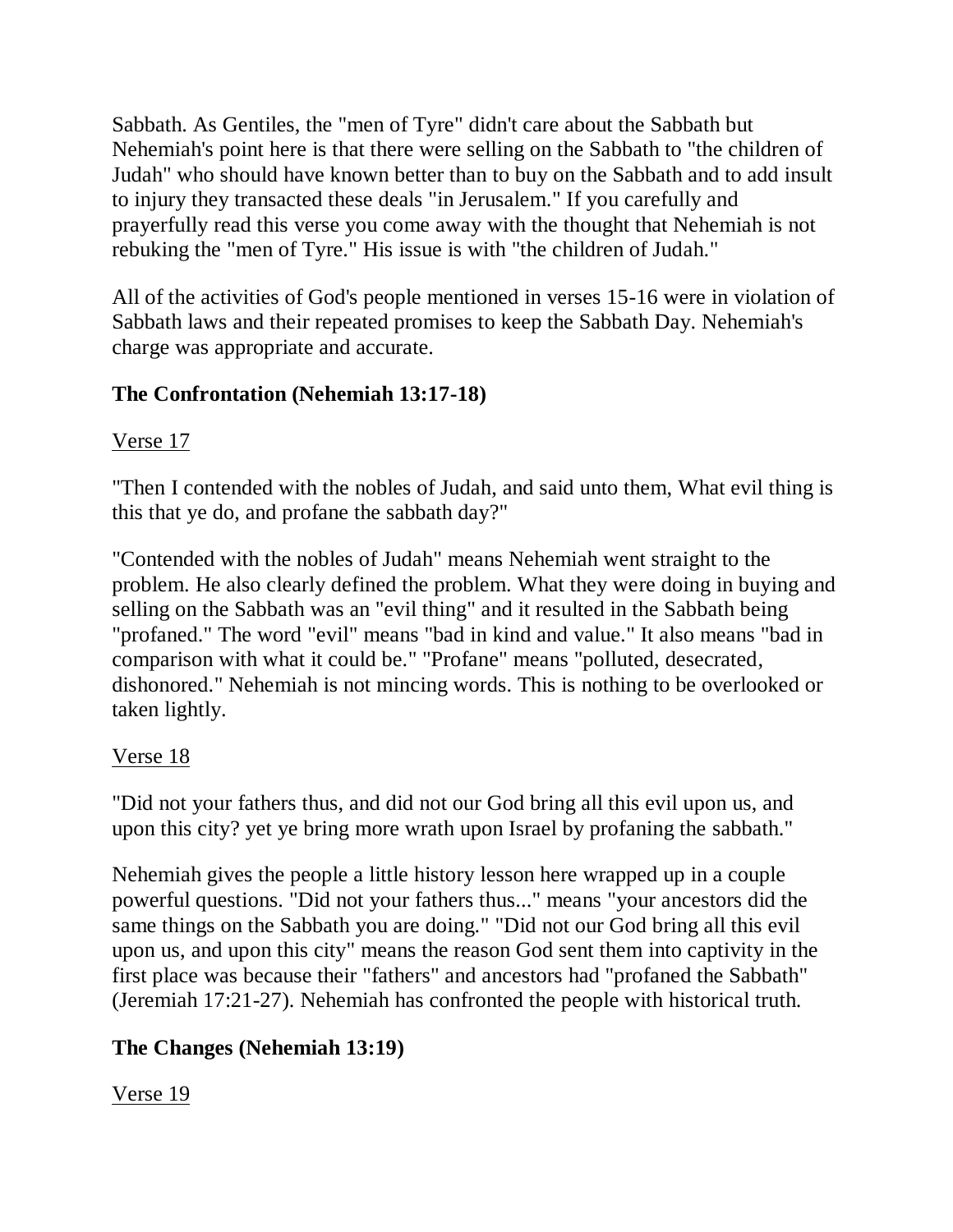Sabbath. As Gentiles, the "men of Tyre" didn't care about the Sabbath but Nehemiah's point here is that there were selling on the Sabbath to "the children of Judah" who should have known better than to buy on the Sabbath and to add insult to injury they transacted these deals "in Jerusalem." If you carefully and prayerfully read this verse you come away with the thought that Nehemiah is not rebuking the "men of Tyre." His issue is with "the children of Judah."

All of the activities of God's people mentioned in verses 15-16 were in violation of Sabbath laws and their repeated promises to keep the Sabbath Day. Nehemiah's charge was appropriate and accurate.

## **The Confrontation (Nehemiah 13:17-18)**

## Verse 17

"Then I contended with the nobles of Judah, and said unto them, What evil thing is this that ye do, and profane the sabbath day?"

"Contended with the nobles of Judah" means Nehemiah went straight to the problem. He also clearly defined the problem. What they were doing in buying and selling on the Sabbath was an "evil thing" and it resulted in the Sabbath being "profaned." The word "evil" means "bad in kind and value." It also means "bad in comparison with what it could be." "Profane" means "polluted, desecrated, dishonored." Nehemiah is not mincing words. This is nothing to be overlooked or taken lightly.

## Verse 18

"Did not your fathers thus, and did not our God bring all this evil upon us, and upon this city? yet ye bring more wrath upon Israel by profaning the sabbath."

Nehemiah gives the people a little history lesson here wrapped up in a couple powerful questions. "Did not your fathers thus..." means "your ancestors did the same things on the Sabbath you are doing." "Did not our God bring all this evil upon us, and upon this city" means the reason God sent them into captivity in the first place was because their "fathers" and ancestors had "profaned the Sabbath" (Jeremiah 17:21-27). Nehemiah has confronted the people with historical truth.

# **The Changes (Nehemiah 13:19)**

Verse 19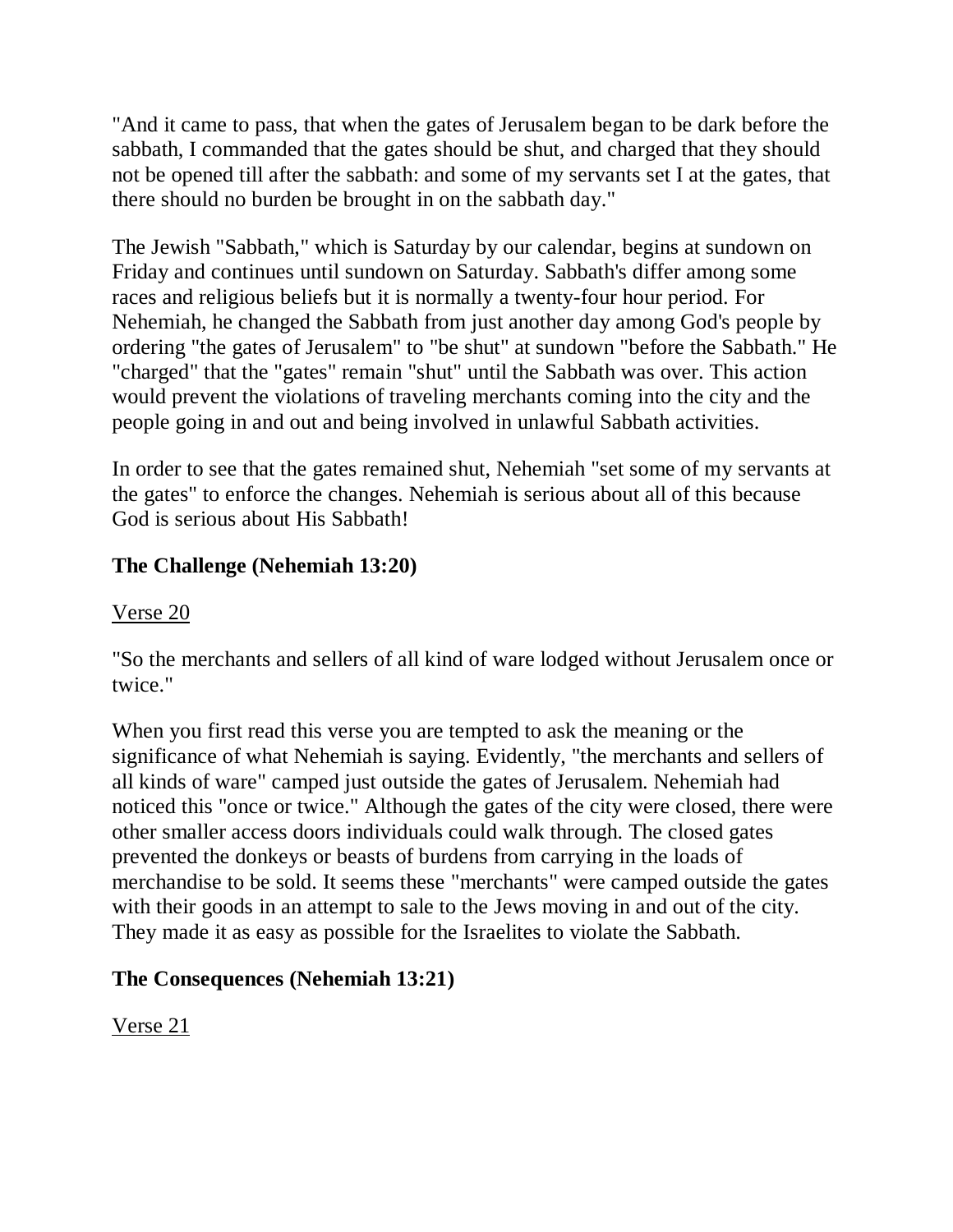"And it came to pass, that when the gates of Jerusalem began to be dark before the sabbath, I commanded that the gates should be shut, and charged that they should not be opened till after the sabbath: and some of my servants set I at the gates, that there should no burden be brought in on the sabbath day."

The Jewish "Sabbath," which is Saturday by our calendar, begins at sundown on Friday and continues until sundown on Saturday. Sabbath's differ among some races and religious beliefs but it is normally a twenty-four hour period. For Nehemiah, he changed the Sabbath from just another day among God's people by ordering "the gates of Jerusalem" to "be shut" at sundown "before the Sabbath." He "charged" that the "gates" remain "shut" until the Sabbath was over. This action would prevent the violations of traveling merchants coming into the city and the people going in and out and being involved in unlawful Sabbath activities.

In order to see that the gates remained shut, Nehemiah "set some of my servants at the gates" to enforce the changes. Nehemiah is serious about all of this because God is serious about His Sabbath!

## **The Challenge (Nehemiah 13:20)**

### Verse 20

"So the merchants and sellers of all kind of ware lodged without Jerusalem once or twice."

When you first read this verse you are tempted to ask the meaning or the significance of what Nehemiah is saying. Evidently, "the merchants and sellers of all kinds of ware" camped just outside the gates of Jerusalem. Nehemiah had noticed this "once or twice." Although the gates of the city were closed, there were other smaller access doors individuals could walk through. The closed gates prevented the donkeys or beasts of burdens from carrying in the loads of merchandise to be sold. It seems these "merchants" were camped outside the gates with their goods in an attempt to sale to the Jews moving in and out of the city. They made it as easy as possible for the Israelites to violate the Sabbath.

### **The Consequences (Nehemiah 13:21)**

Verse 21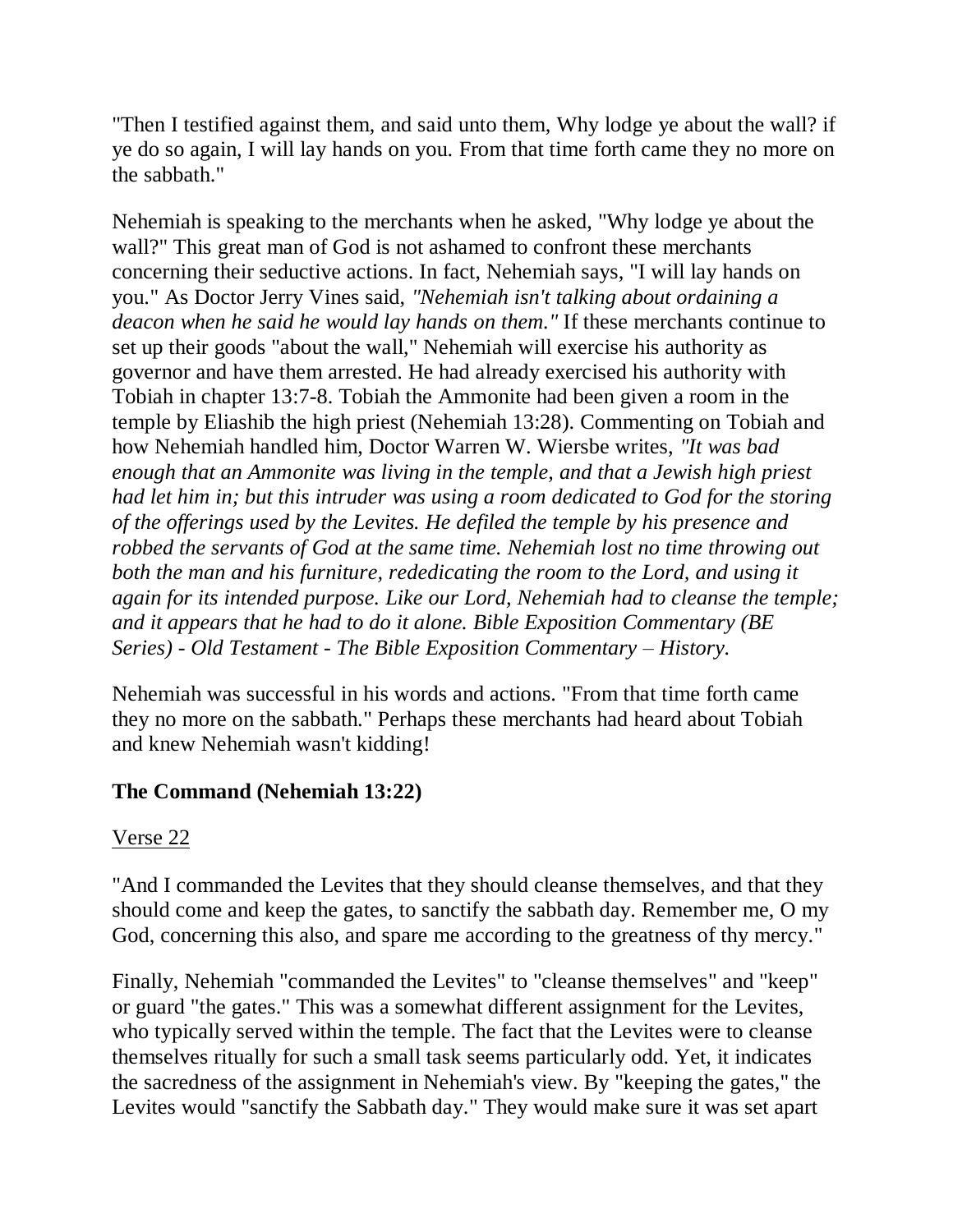"Then I testified against them, and said unto them, Why lodge ye about the wall? if ye do so again, I will lay hands on you. From that time forth came they no more on the sabbath."

Nehemiah is speaking to the merchants when he asked, "Why lodge ye about the wall?" This great man of God is not ashamed to confront these merchants concerning their seductive actions. In fact, Nehemiah says, "I will lay hands on you." As Doctor Jerry Vines said, *"Nehemiah isn't talking about ordaining a deacon when he said he would lay hands on them."* If these merchants continue to set up their goods "about the wall," Nehemiah will exercise his authority as governor and have them arrested. He had already exercised his authority with Tobiah in chapter 13:7-8. Tobiah the Ammonite had been given a room in the temple by Eliashib the high priest (Nehemiah 13:28). Commenting on Tobiah and how Nehemiah handled him, Doctor Warren W. Wiersbe writes, *"It was bad enough that an Ammonite was living in the temple, and that a Jewish high priest had let him in; but this intruder was using a room dedicated to God for the storing of the offerings used by the Levites. He defiled the temple by his presence and robbed the servants of God at the same time. Nehemiah lost no time throwing out both the man and his furniture, rededicating the room to the Lord, and using it again for its intended purpose. Like our Lord, Nehemiah had to cleanse the temple; and it appears that he had to do it alone. Bible Exposition Commentary (BE Series) - Old Testament - The Bible Exposition Commentary – History.*

Nehemiah was successful in his words and actions. "From that time forth came they no more on the sabbath." Perhaps these merchants had heard about Tobiah and knew Nehemiah wasn't kidding!

### **The Command (Nehemiah 13:22)**

#### Verse 22

"And I commanded the Levites that they should cleanse themselves, and that they should come and keep the gates, to sanctify the sabbath day. Remember me, O my God, concerning this also, and spare me according to the greatness of thy mercy."

Finally, Nehemiah "commanded the Levites" to "cleanse themselves" and "keep" or guard "the gates." This was a somewhat different assignment for the Levites, who typically served within the temple. The fact that the Levites were to cleanse themselves ritually for such a small task seems particularly odd. Yet, it indicates the sacredness of the assignment in Nehemiah's view. By "keeping the gates," the Levites would "sanctify the Sabbath day." They would make sure it was set apart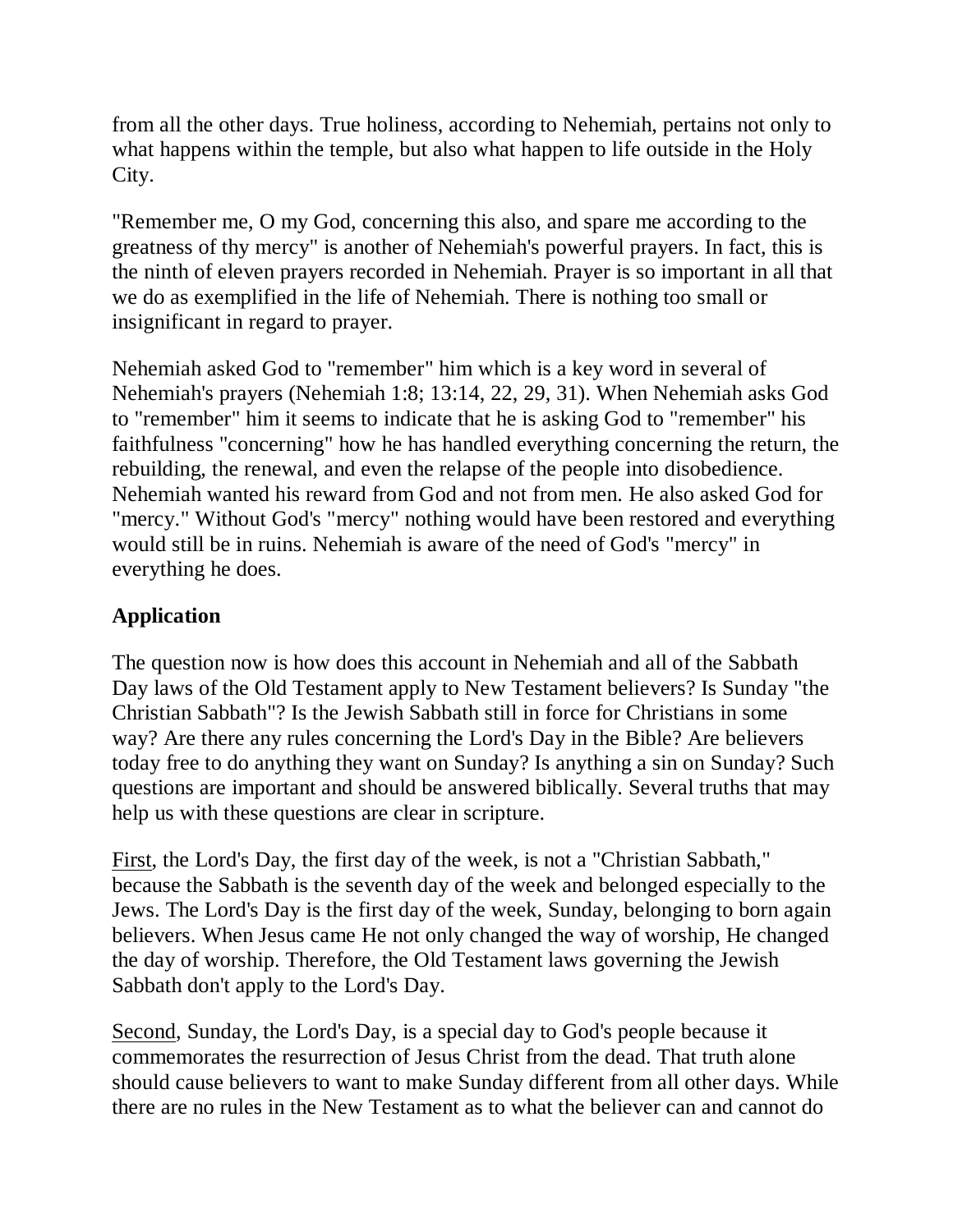from all the other days. True holiness, according to Nehemiah, pertains not only to what happens within the temple, but also what happen to life outside in the Holy City.

"Remember me, O my God, concerning this also, and spare me according to the greatness of thy mercy" is another of Nehemiah's powerful prayers. In fact, this is the ninth of eleven prayers recorded in Nehemiah. Prayer is so important in all that we do as exemplified in the life of Nehemiah. There is nothing too small or insignificant in regard to prayer.

Nehemiah asked God to "remember" him which is a key word in several of Nehemiah's prayers (Nehemiah 1:8; 13:14, 22, 29, 31). When Nehemiah asks God to "remember" him it seems to indicate that he is asking God to "remember" his faithfulness "concerning" how he has handled everything concerning the return, the rebuilding, the renewal, and even the relapse of the people into disobedience. Nehemiah wanted his reward from God and not from men. He also asked God for "mercy." Without God's "mercy" nothing would have been restored and everything would still be in ruins. Nehemiah is aware of the need of God's "mercy" in everything he does.

# **Application**

The question now is how does this account in Nehemiah and all of the Sabbath Day laws of the Old Testament apply to New Testament believers? Is Sunday "the Christian Sabbath"? Is the Jewish Sabbath still in force for Christians in some way? Are there any rules concerning the Lord's Day in the Bible? Are believers today free to do anything they want on Sunday? Is anything a sin on Sunday? Such questions are important and should be answered biblically. Several truths that may help us with these questions are clear in scripture.

First, the Lord's Day, the first day of the week, is not a "Christian Sabbath," because the Sabbath is the seventh day of the week and belonged especially to the Jews. The Lord's Day is the first day of the week, Sunday, belonging to born again believers. When Jesus came He not only changed the way of worship, He changed the day of worship. Therefore, the Old Testament laws governing the Jewish Sabbath don't apply to the Lord's Day.

Second, Sunday, the Lord's Day, is a special day to God's people because it commemorates the resurrection of Jesus Christ from the dead. That truth alone should cause believers to want to make Sunday different from all other days. While there are no rules in the New Testament as to what the believer can and cannot do